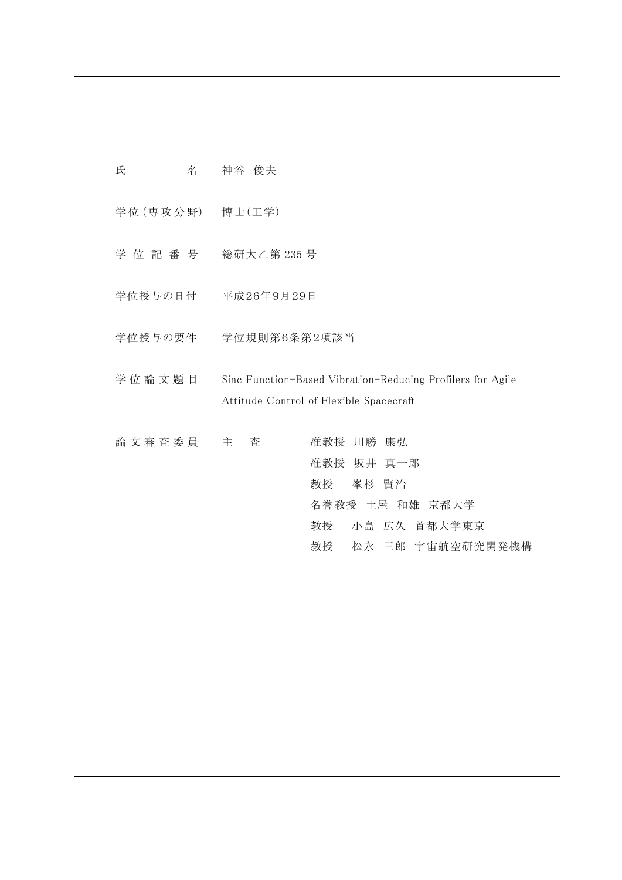| 氏<br>名            | 神谷 俊夫                                                                                                               |
|-------------------|---------------------------------------------------------------------------------------------------------------------|
| 学位 (専攻分野) 博士 (工学) |                                                                                                                     |
| 学 位 記 番 号         | 総研大乙第 235号                                                                                                          |
| 学位授与の日付           | 平成26年9月29日                                                                                                          |
|                   | 学位授与の要件 学位規則第6条第2項該当                                                                                                |
| 学位論文題目            | Sinc Function-Based Vibration-Reducing Profilers for Agile<br>Attitude Control of Flexible Spacecraft               |
| 論 文 審 査 委 員       | 主<br>査<br>准教授 川勝 康弘<br>准教授 坂井 真一郎<br>教授<br>峯杉 賢治<br>名誉教授 土屋 和雄 京都大学<br>小島 広久 首都大学東京<br>教授<br>松永 三郎 宇宙航空研究開発機構<br>教授 |
|                   |                                                                                                                     |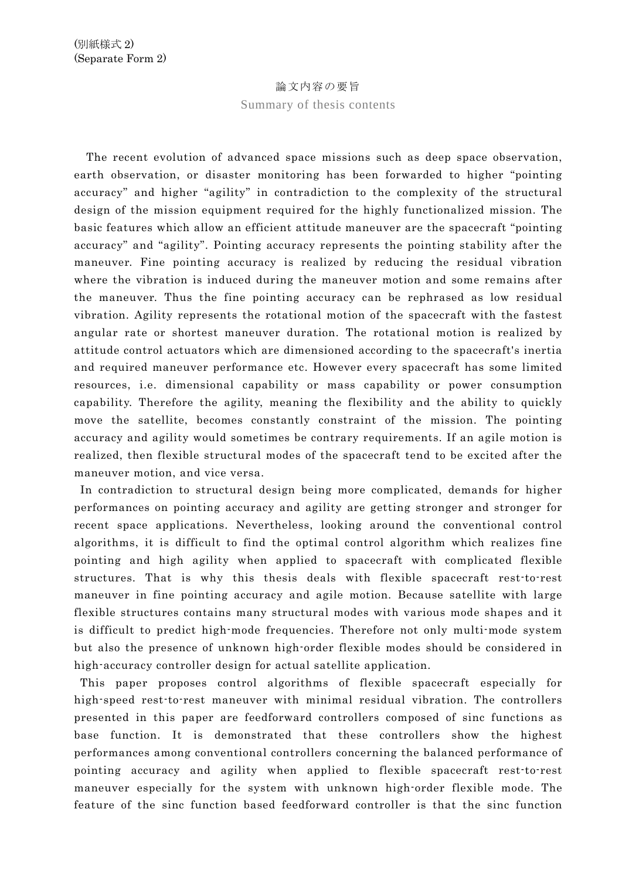## 論文内容の要旨

Summary of thesis contents

The recent evolution of advanced space missions such as deep space observation, earth observation, or disaster monitoring has been forwarded to higher "pointing accuracy" and higher "agility" in contradiction to the complexity of the structural design of the mission equipment required for the highly functionalized mission. The basic features which allow an efficient attitude maneuver are the spacecraft "pointing accuracy" and "agility". Pointing accuracy represents the pointing stability after the maneuver. Fine pointing accuracy is realized by reducing the residual vibration where the vibration is induced during the maneuver motion and some remains after the maneuver. Thus the fine pointing accuracy can be rephrased as low residual vibration. Agility represents the rotational motion of the spacecraft with the fastest angular rate or shortest maneuver duration. The rotational motion is realized by attitude control actuators which are dimensioned according to the spacecraft's inertia and required maneuver performance etc. However every spacecraft has some limited resources, i.e. dimensional capability or mass capability or power consumption capability. Therefore the agility, meaning the flexibility and the ability to quickly move the satellite, becomes constantly constraint of the mission. The pointing accuracy and agility would sometimes be contrary requirements. If an agile motion is realized, then flexible structural modes of the spacecraft tend to be excited after the maneuver motion, and vice versa.

In contradiction to structural design being more complicated, demands for higher performances on pointing accuracy and agility are getting stronger and stronger for recent space applications. Nevertheless, looking around the conventional control algorithms, it is difficult to find the optimal control algorithm which realizes fine pointing and high agility when applied to spacecraft with complicated flexible structures. That is why this thesis deals with flexible spacecraft rest-to-rest maneuver in fine pointing accuracy and agile motion. Because satellite with large flexible structures contains many structural modes with various mode shapes and it is difficult to predict high-mode frequencies. Therefore not only multi-mode system but also the presence of unknown high-order flexible modes should be considered in high-accuracy controller design for actual satellite application.

This paper proposes control algorithms of flexible spacecraft especially for high-speed rest-to-rest maneuver with minimal residual vibration. The controllers presented in this paper are feedforward controllers composed of sinc functions as base function. It is demonstrated that these controllers show the highest performances among conventional controllers concerning the balanced performance of pointing accuracy and agility when applied to flexible spacecraft rest-to-rest maneuver especially for the system with unknown high-order flexible mode. The feature of the sinc function based feedforward controller is that the sinc function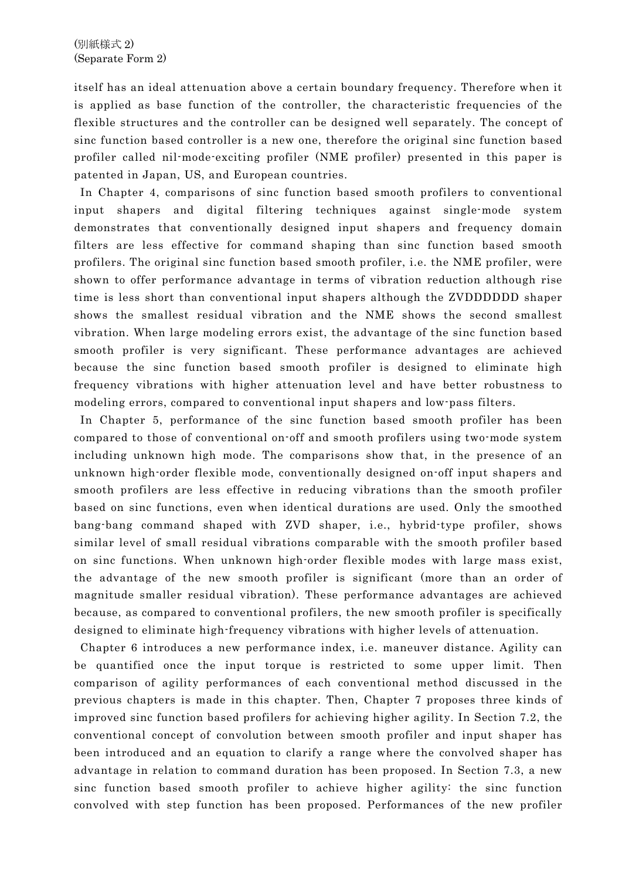itself has an ideal attenuation above a certain boundary frequency. Therefore when it is applied as base function of the controller, the characteristic frequencies of the flexible structures and the controller can be designed well separately. The concept of sinc function based controller is a new one, therefore the original sinc function based profiler called nil-mode-exciting profiler (NME profiler) presented in this paper is patented in Japan, US, and European countries.

In Chapter 4, comparisons of sinc function based smooth profilers to conventional input shapers and digital filtering techniques against single-mode system demonstrates that conventionally designed input shapers and frequency domain filters are less effective for command shaping than sinc function based smooth profilers. The original sinc function based smooth profiler, i.e. the NME profiler, were shown to offer performance advantage in terms of vibration reduction although rise time is less short than conventional input shapers although the ZVDDDDDD shaper shows the smallest residual vibration and the NME shows the second smallest vibration. When large modeling errors exist, the advantage of the sinc function based smooth profiler is very significant. These performance advantages are achieved because the sinc function based smooth profiler is designed to eliminate high frequency vibrations with higher attenuation level and have better robustness to modeling errors, compared to conventional input shapers and low-pass filters.

In Chapter 5, performance of the sinc function based smooth profiler has been compared to those of conventional on-off and smooth profilers using two-mode system including unknown high mode. The comparisons show that, in the presence of an unknown high-order flexible mode, conventionally designed on-off input shapers and smooth profilers are less effective in reducing vibrations than the smooth profiler based on sinc functions, even when identical durations are used. Only the smoothed bang-bang command shaped with ZVD shaper, i.e., hybrid-type profiler, shows similar level of small residual vibrations comparable with the smooth profiler based on sinc functions. When unknown high-order flexible modes with large mass exist, the advantage of the new smooth profiler is significant (more than an order of magnitude smaller residual vibration). These performance advantages are achieved because, as compared to conventional profilers, the new smooth profiler is specifically designed to eliminate high-frequency vibrations with higher levels of attenuation.

Chapter 6 introduces a new performance index, i.e. maneuver distance. Agility can be quantified once the input torque is restricted to some upper limit. Then comparison of agility performances of each conventional method discussed in the previous chapters is made in this chapter. Then, Chapter 7 proposes three kinds of improved sinc function based profilers for achieving higher agility. In Section 7.2, the conventional concept of convolution between smooth profiler and input shaper has been introduced and an equation to clarify a range where the convolved shaper has advantage in relation to command duration has been proposed. In Section 7.3, a new sinc function based smooth profiler to achieve higher agility: the sinc function convolved with step function has been proposed. Performances of the new profiler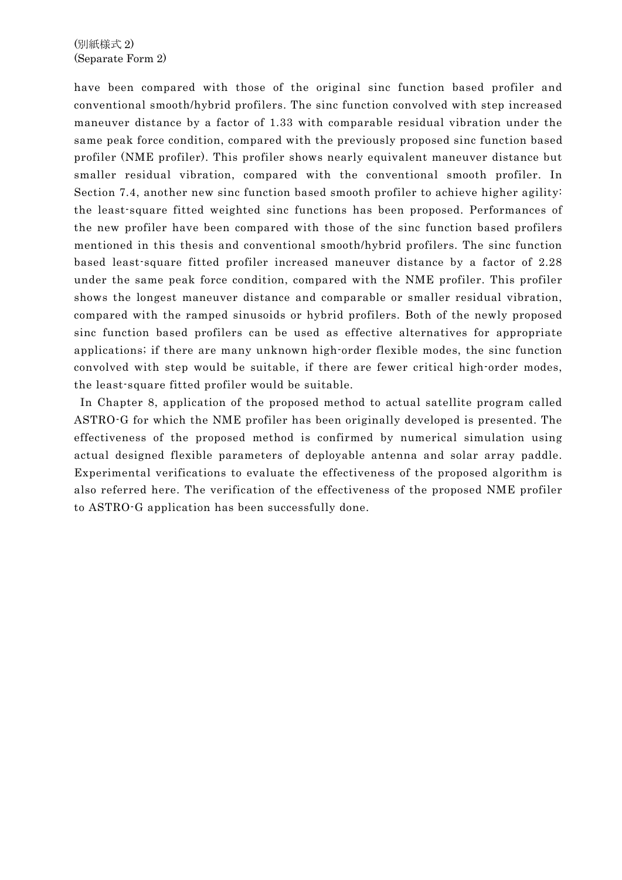## (別紙様式 2) (Separate Form 2)

have been compared with those of the original sinc function based profiler and conventional smooth/hybrid profilers. The sinc function convolved with step increased maneuver distance by a factor of 1.33 with comparable residual vibration under the same peak force condition, compared with the previously proposed sinc function based profiler (NME profiler). This profiler shows nearly equivalent maneuver distance but smaller residual vibration, compared with the conventional smooth profiler. In Section 7.4, another new sinc function based smooth profiler to achieve higher agility: the least-square fitted weighted sinc functions has been proposed. Performances of the new profiler have been compared with those of the sinc function based profilers mentioned in this thesis and conventional smooth/hybrid profilers. The sinc function based least-square fitted profiler increased maneuver distance by a factor of 2.28 under the same peak force condition, compared with the NME profiler. This profiler shows the longest maneuver distance and comparable or smaller residual vibration, compared with the ramped sinusoids or hybrid profilers. Both of the newly proposed sinc function based profilers can be used as effective alternatives for appropriate applications; if there are many unknown high-order flexible modes, the sinc function convolved with step would be suitable, if there are fewer critical high-order modes, the least-square fitted profiler would be suitable.

In Chapter 8, application of the proposed method to actual satellite program called ASTRO-G for which the NME profiler has been originally developed is presented. The effectiveness of the proposed method is confirmed by numerical simulation using actual designed flexible parameters of deployable antenna and solar array paddle. Experimental verifications to evaluate the effectiveness of the proposed algorithm is also referred here. The verification of the effectiveness of the proposed NME profiler to ASTRO-G application has been successfully done.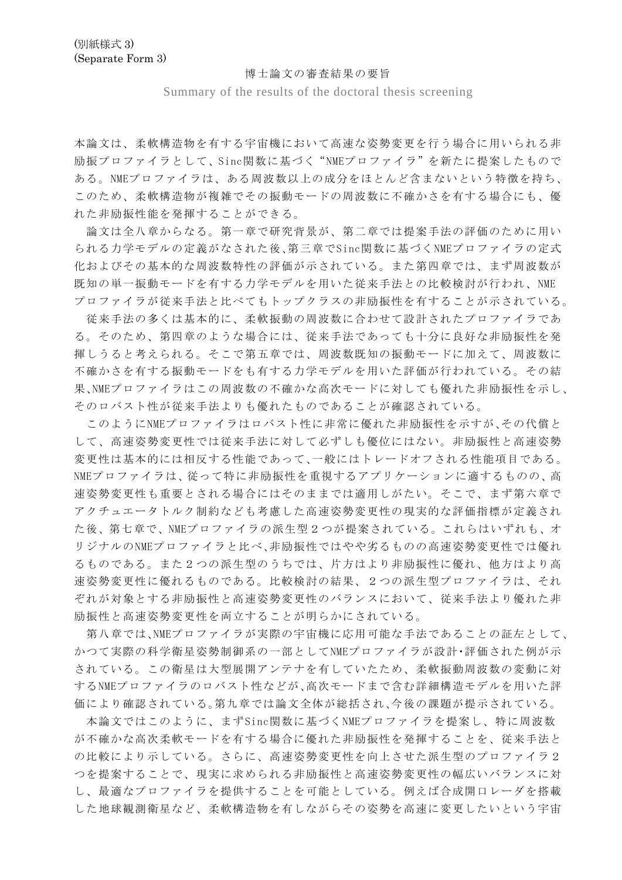## 博士論文の審査結果の要旨

Summary of the results of the doctoral thesis screening

本論文は、柔軟構造物を有する宇宙機において高速な姿勢変更を行う場合に用いられる非 励振プロファイラとして、Sinc関数に基づく" NMEプロファイラ"を新たに提案したもので ある。NMEプロファイラは、ある周波数以上の成分をほとんど含まないという特徴を持ち、 このため、柔軟構造物が複雑でその振動モードの周波数に不確かさを有する場合にも、優 れた非励振性能を発揮することができる。

 論文は全八章からなる。第一章で研究背景が、第二章では提案手法の評価のために用い られる力学モデルの定義がなされた後、第三章でSinc関数に基づくNMEプロファイラの定式 化およびその基本的な周波数特性の評価が示されている。また第四章では、まず周波数が 既知の単一振動モードを有する力学モデルを用いた従来手法との比較検討が行われ、NME プロファイラが従来手法と比べてもトップクラスの非励振性を有することが示されている。

 従来手法の多くは基本的に、柔軟振動の周波数に合わせて設計されたプロファイラであ る。そのため、第四章のような場合には、従来手法であっても十分に良好な非励振性を発 揮しうると考えられる。そこで第五章では、周波数既知の振動モードに加えて、周波数に 不確かさを有する振動モードをも有する力学モデルを用いた評価が行われている。その結 果、NMEプロファイラはこの周波数の不確かな高次モードに対しても優れた非励振性を示し、 そのロバスト性が従来手法よりも優れたものであることが確認されている。

 このようにNMEプロファイラはロバスト性に非常に優れた非励振性を示すが、その代償と して、高速姿勢変更性では従来手法に対して必ずしも優位にはない。非励振性と高速姿勢 変更性は基本的には相反する性能であって、一般にはトレードオフされる性能項目である。 NMEプロファイラは、従って特に非励振性を重視するアプリケーションに適するものの、高 速姿勢変更性も重要とされる場合にはそのままでは適用しがたい。そこで、まず第六章で アクチュエータトルク制約なども考慮した高速姿勢変更性の現実的な評価指標が定義され た後、第七章で、NMEプロファイラの派生型2つが提案されている。これらはいずれも、オ リジナルのNMEプロファイラと比べ、非励振性ではやや劣るものの高速姿勢変更性では優れ るものである。また2つの派生型のうちでは、片方はより非励振性に優れ、他方はより高 速姿勢変更性に優れるものである。比較検討の結果、2つの派生型プロファイラは、それ ぞれが対象とする非励振性と高速姿勢変更性のバランスにおいて、従来手法より優れた非 励振性と高速姿勢変更性を両立することが明らかにされている。

 第八章では、NMEプロファイラが実際の宇宙機に応用可能な手法であることの証左として、 かつて実際の科学衛星姿勢制御系の一部としてNMEプロファイラが設計・評価された例が示 されている。この衛星は大型展開アンテナを有していたため、柔軟振動周波数の変動に対 するNMEプロファイラのロバスト性などが、高次モードまで含む詳細構造モデルを用いた評 価により確認されている。第九章では論文全体が総括され、今後の課題が提示されている。

本論文ではこのように、まずSinc関数に基づくNMEプロファイラを提案し、特に周波数 が不確かな高次柔軟モードを有する場合に優れた非励振性を発揮することを、従来手法と の比較により示している。さらに、高速姿勢変更性を向上させた派生型のプロファイラ2 つを提案することで、現実に求められる非励振性と高速姿勢変更性の幅広いバランスに対 し、最適なプロファイラを提供することを可能としている。例えば合成開口レーダを搭載 した地球観測衛星など、柔軟構造物を有しながらその姿勢を高速に変更したいという宇宙